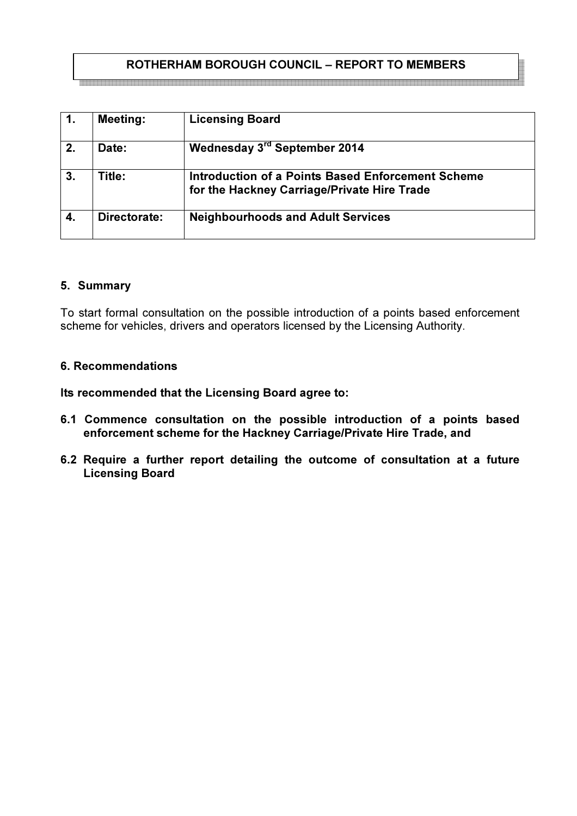# ROTHERHAM BOROUGH COUNCIL – REPORT TO MEMBERS

|    | <b>Meeting:</b> | <b>Licensing Board</b>                                                                                  |
|----|-----------------|---------------------------------------------------------------------------------------------------------|
| 2. | Date:           | Wednesday 3rd September 2014                                                                            |
| 3. | Title:          | <b>Introduction of a Points Based Enforcement Scheme</b><br>for the Hackney Carriage/Private Hire Trade |
|    | Directorate:    | <b>Neighbourhoods and Adult Services</b>                                                                |

#### 5. Summary

To start formal consultation on the possible introduction of a points based enforcement scheme for vehicles, drivers and operators licensed by the Licensing Authority.

#### 6. Recommendations

Its recommended that the Licensing Board agree to:

- 6.1 Commence consultation on the possible introduction of a points based enforcement scheme for the Hackney Carriage/Private Hire Trade, and
- 6.2 Require a further report detailing the outcome of consultation at a future Licensing Board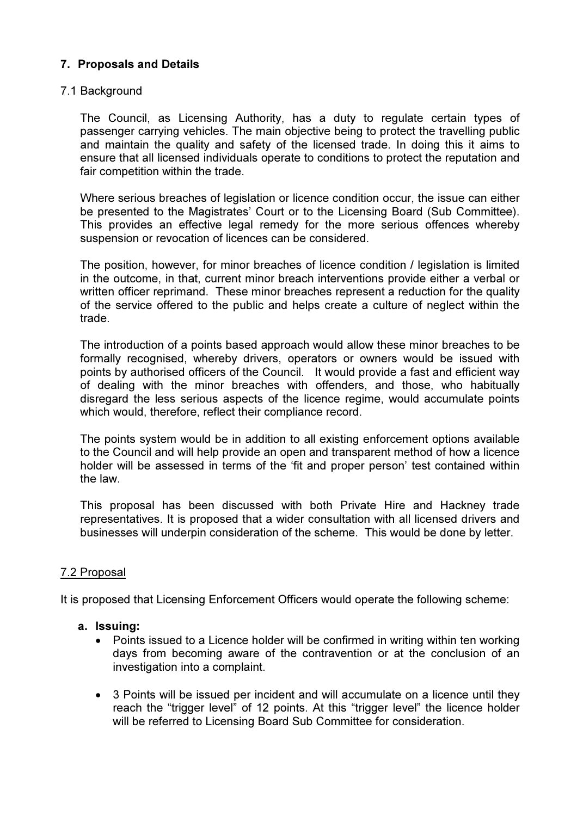## 7. Proposals and Details

### 7.1 Background

The Council, as Licensing Authority, has a duty to regulate certain types of passenger carrying vehicles. The main objective being to protect the travelling public and maintain the quality and safety of the licensed trade. In doing this it aims to ensure that all licensed individuals operate to conditions to protect the reputation and fair competition within the trade.

Where serious breaches of legislation or licence condition occur, the issue can either be presented to the Magistrates' Court or to the Licensing Board (Sub Committee). This provides an effective legal remedy for the more serious offences whereby suspension or revocation of licences can be considered.

The position, however, for minor breaches of licence condition / legislation is limited in the outcome, in that, current minor breach interventions provide either a verbal or written officer reprimand. These minor breaches represent a reduction for the quality of the service offered to the public and helps create a culture of neglect within the trade.

The introduction of a points based approach would allow these minor breaches to be formally recognised, whereby drivers, operators or owners would be issued with points by authorised officers of the Council. It would provide a fast and efficient way of dealing with the minor breaches with offenders, and those, who habitually disregard the less serious aspects of the licence regime, would accumulate points which would, therefore, reflect their compliance record.

The points system would be in addition to all existing enforcement options available to the Council and will help provide an open and transparent method of how a licence holder will be assessed in terms of the 'fit and proper person' test contained within the law.

This proposal has been discussed with both Private Hire and Hackney trade representatives. It is proposed that a wider consultation with all licensed drivers and businesses will underpin consideration of the scheme. This would be done by letter.

## 7.2 Proposal

It is proposed that Licensing Enforcement Officers would operate the following scheme:

- a. Issuing:
	- Points issued to a Licence holder will be confirmed in writing within ten working days from becoming aware of the contravention or at the conclusion of an investigation into a complaint.
	- 3 Points will be issued per incident and will accumulate on a licence until they reach the "trigger level" of 12 points. At this "trigger level" the licence holder will be referred to Licensing Board Sub Committee for consideration.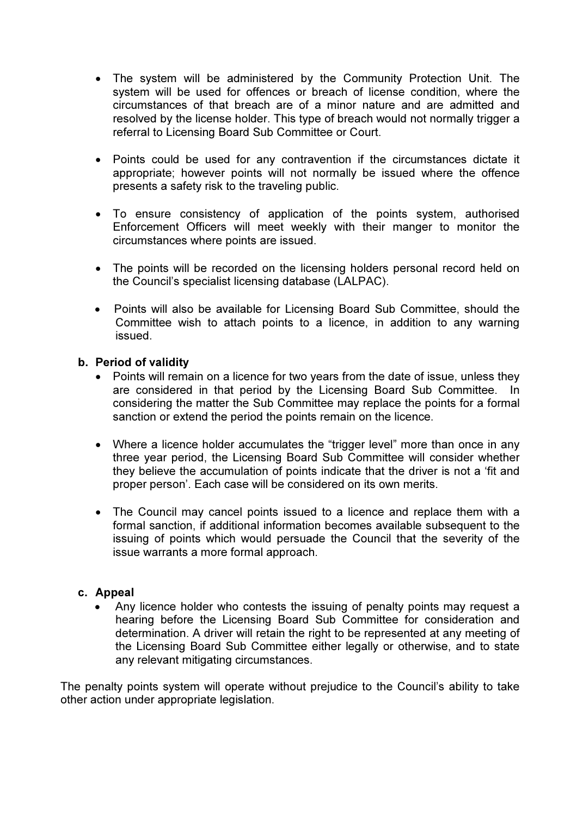- The system will be administered by the Community Protection Unit. The system will be used for offences or breach of license condition, where the circumstances of that breach are of a minor nature and are admitted and resolved by the license holder. This type of breach would not normally trigger a referral to Licensing Board Sub Committee or Court.
- Points could be used for any contravention if the circumstances dictate it appropriate; however points will not normally be issued where the offence presents a safety risk to the traveling public.
- To ensure consistency of application of the points system, authorised Enforcement Officers will meet weekly with their manger to monitor the circumstances where points are issued.
- The points will be recorded on the licensing holders personal record held on the Council's specialist licensing database (LALPAC).
- Points will also be available for Licensing Board Sub Committee, should the Committee wish to attach points to a licence, in addition to any warning issued.

### b. Period of validity

- Points will remain on a licence for two years from the date of issue, unless they are considered in that period by the Licensing Board Sub Committee. In considering the matter the Sub Committee may replace the points for a formal sanction or extend the period the points remain on the licence.
- Where a licence holder accumulates the "trigger level" more than once in any three year period, the Licensing Board Sub Committee will consider whether they believe the accumulation of points indicate that the driver is not a 'fit and proper person'. Each case will be considered on its own merits.
- The Council may cancel points issued to a licence and replace them with a formal sanction, if additional information becomes available subsequent to the issuing of points which would persuade the Council that the severity of the issue warrants a more formal approach.

### c. Appeal

• Any licence holder who contests the issuing of penalty points may request a hearing before the Licensing Board Sub Committee for consideration and determination. A driver will retain the right to be represented at any meeting of the Licensing Board Sub Committee either legally or otherwise, and to state any relevant mitigating circumstances.

The penalty points system will operate without prejudice to the Council's ability to take other action under appropriate legislation.